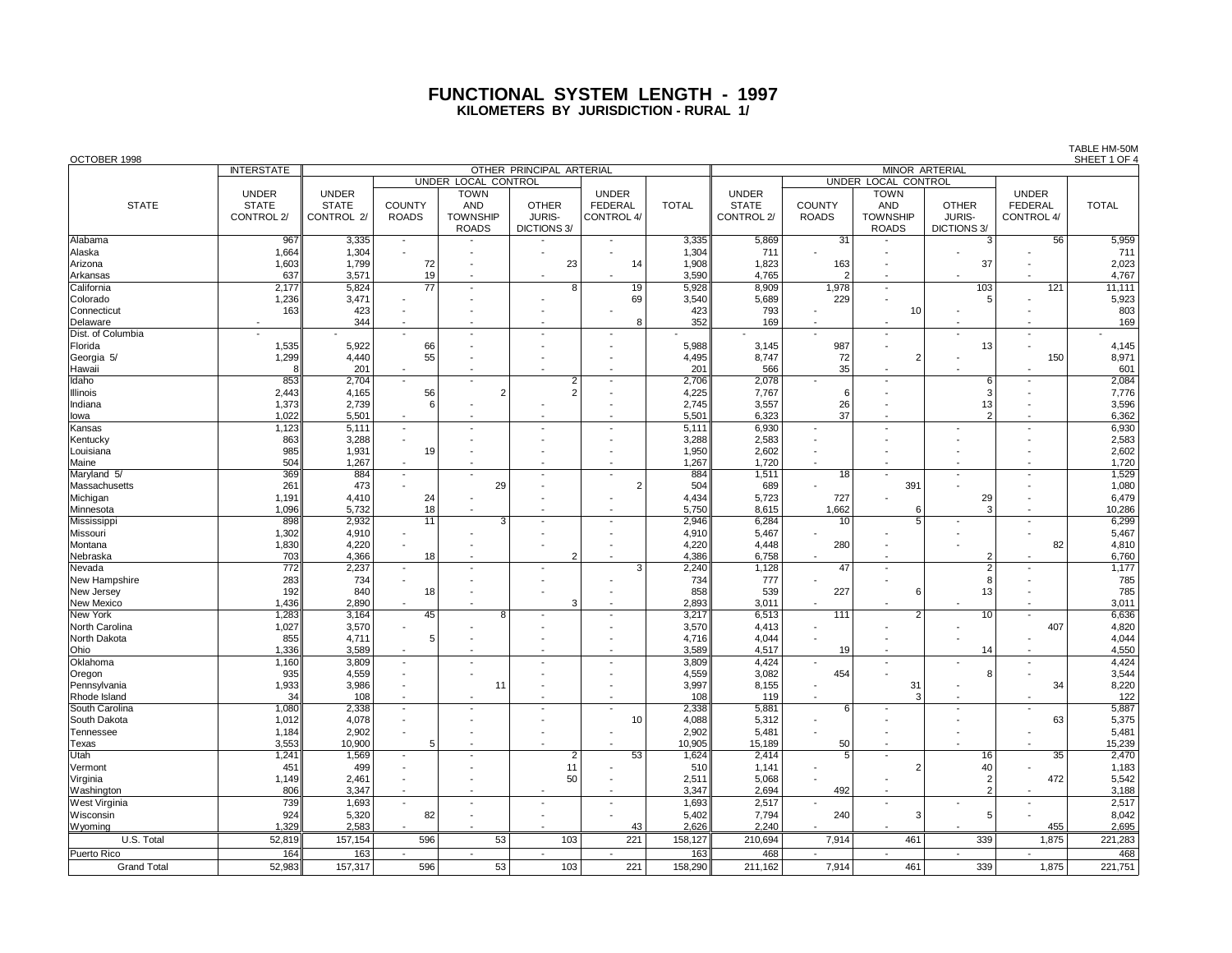## **FUNCTIONAL SYSTEM LENGTH - 1997 KILOMETERS BY JURISDICTION - RURAL 1/**

| OCTOBER 1998         |                   |              |                          |                          |                          |                          |              |                       |                          |                            |                          |                          | SHEET 1 OF 4 |  |  |  |  |
|----------------------|-------------------|--------------|--------------------------|--------------------------|--------------------------|--------------------------|--------------|-----------------------|--------------------------|----------------------------|--------------------------|--------------------------|--------------|--|--|--|--|
|                      | <b>INTERSTATE</b> |              |                          |                          | OTHER PRINCIPAL ARTERIAL |                          |              | <b>MINOR ARTERIAL</b> |                          |                            |                          |                          |              |  |  |  |  |
|                      |                   |              |                          | UNDER LOCAL CONTROL      |                          |                          |              |                       |                          | <b>UNDER LOCAL CONTROL</b> |                          |                          |              |  |  |  |  |
|                      | <b>UNDER</b>      | <b>UNDER</b> |                          | <b>TOWN</b>              |                          | <b>UNDER</b>             |              | <b>UNDER</b>          |                          | <b>TOWN</b>                |                          | <b>UNDER</b>             |              |  |  |  |  |
| <b>STATE</b>         | <b>STATE</b>      | <b>STATE</b> | <b>COUNTY</b>            | <b>AND</b>               | <b>OTHER</b>             | <b>FEDERAL</b>           | <b>TOTAL</b> | <b>STATE</b>          | <b>COUNTY</b>            | <b>AND</b>                 | <b>OTHER</b>             | <b>FEDERAL</b>           | <b>TOTAL</b> |  |  |  |  |
|                      | CONTROL 2/        | CONTROL 2/   | <b>ROADS</b>             | <b>TOWNSHIP</b>          | JURIS-                   | CONTROL 4/               |              | CONTROL 2/            | <b>ROADS</b>             | <b>TOWNSHIP</b>            | JURIS-                   | CONTROL 4/               |              |  |  |  |  |
|                      |                   |              |                          | <b>ROADS</b>             | DICTIONS 3/              |                          |              |                       |                          | <b>ROADS</b>               | DICTIONS 3/              |                          |              |  |  |  |  |
| Alabama              | 967               | 3,335        | $\blacksquare$           |                          |                          | $\overline{\phantom{a}}$ | 3,335        | 5,869                 | 31                       |                            | 3                        | 56                       | 5,959        |  |  |  |  |
| Alaska               | 1,664             | 1,304        |                          |                          |                          |                          | 1,304        | 711                   | $\overline{\phantom{a}}$ |                            |                          |                          | 711          |  |  |  |  |
| Arizona              | 1,603             | 1,799        | 72                       |                          | 23                       | 14                       | 1,908        | 1,823                 | 163                      |                            | 37                       |                          | 2,023        |  |  |  |  |
| Arkansas             | 637               | 3,571        | 19                       |                          |                          |                          | 3,590        | 4,765                 | $\overline{2}$           |                            |                          |                          | 4,767        |  |  |  |  |
| California           | 2,177             | 5,824        | $\overline{77}$          |                          | 8                        | 19                       | 5,928        | 8,909                 | 1,978                    | $\overline{a}$             | 103                      | 121                      | 11,111       |  |  |  |  |
| Colorado             | 1,236             | 3,471        |                          |                          |                          | 69                       | 3,540        | 5,689                 | 229                      |                            | 5                        |                          | 5,923        |  |  |  |  |
| Connecticut          | 163               | 423          |                          |                          |                          |                          | 423          | 793                   |                          | 10                         |                          |                          | 803          |  |  |  |  |
| Delaware             |                   | 344          |                          |                          |                          | 8                        | 352          | 169                   |                          |                            |                          |                          | 169          |  |  |  |  |
| Dist. of Columbia    |                   |              |                          | $\overline{\phantom{a}}$ |                          |                          |              |                       | $\overline{a}$           | $\centerdot$               |                          | ٠                        |              |  |  |  |  |
| Florida              | 1,535             | 5,922        | 66                       |                          |                          |                          | 5,988        | 3,145                 | 987                      |                            | 13                       |                          | 4,145        |  |  |  |  |
| Georgia 5/           | 1,299             | 4,440        | 55                       |                          |                          |                          | 4,495        | 8,747                 | 72                       | $\overline{2}$             |                          | 150                      | 8,971        |  |  |  |  |
| Hawaii               | 8                 | 201          | $\blacksquare$           |                          |                          |                          | 201          | 566                   | 35                       |                            |                          |                          | 601          |  |  |  |  |
| Idaho                | 853               | 2,704        | $\overline{\phantom{a}}$ | $\overline{\phantom{a}}$ | $\overline{2}$           | $\overline{\phantom{a}}$ | 2,706        | 2,078                 |                          | $\overline{a}$             | 6                        |                          | 2,084        |  |  |  |  |
| Illinois             | 2,443             | 4,165        | 56                       | $\overline{2}$           | $\overline{2}$           |                          | 4,225        | 7,767                 | 6                        |                            | 3                        |                          | 7,776        |  |  |  |  |
| Indiana              | 1,373             | 2,739        | 6                        |                          |                          | $\overline{\phantom{a}}$ | 2,745        | 3,557                 | 26                       |                            | 13                       |                          | 3,596        |  |  |  |  |
| lowa                 | 1,022             | 5,501        |                          |                          |                          |                          | 5,501        | 6,323                 | 37                       |                            | $\mathfrak{p}$           |                          | 6,362        |  |  |  |  |
| Kansas               | 1,123             | 5,111        | $\blacksquare$           | $\overline{\phantom{a}}$ |                          | $\overline{\phantom{a}}$ | 5,111        | 6,930                 |                          |                            |                          | $\overline{a}$           | 6,930        |  |  |  |  |
| Kentucky             | 863               | 3,288        | $\overline{\phantom{a}}$ |                          |                          |                          | 3,288        | 2,583                 |                          |                            |                          |                          | 2,583        |  |  |  |  |
| Louisiana            | 985               | 1,931        | 19                       |                          |                          |                          | 1,950        | 2,602                 |                          |                            |                          |                          | 2,602        |  |  |  |  |
| Maine                | 504               | 1,267        |                          |                          |                          |                          | 1,267        | 1,720                 |                          |                            |                          |                          | 1,720        |  |  |  |  |
| Maryland 5/          | 369               | 884          | $\overline{\phantom{a}}$ |                          | $\overline{\phantom{a}}$ | $\overline{\phantom{a}}$ | 884          | 1,511                 | 18                       | $\overline{\phantom{a}}$   | $\overline{\phantom{a}}$ | $\overline{\phantom{a}}$ | 1,529        |  |  |  |  |
| Massachusetts        | 261               | 473          |                          | 29                       |                          | $\overline{2}$           | 504          | 689                   |                          | 391                        |                          |                          | 1,080        |  |  |  |  |
| Michigan             | 1,191             | 4,410        | 24                       |                          |                          |                          | 4,434        | 5,723                 | 727                      |                            | 29                       | $\overline{\phantom{a}}$ | 6,479        |  |  |  |  |
| Minnesota            | 1,096             | 5,732        | 18                       |                          |                          |                          | 5,750        | 8,615                 | 1,662                    | 6                          | 3                        |                          | 10,286       |  |  |  |  |
| Mississippi          | 898               | 2,932        | $\overline{11}$          | $\overline{3}$           |                          |                          | 2,946        | 6,284                 | 10                       | 5                          |                          |                          | 6,299        |  |  |  |  |
| Missouri             | 1,302             | 4,910        |                          |                          |                          |                          | 4.910        | 5,467                 |                          |                            |                          |                          | 5,467        |  |  |  |  |
| Montana              | 1,830             | 4,220        | $\overline{\phantom{a}}$ |                          |                          |                          | 4,220        | 4,448                 | 280                      |                            |                          | 82                       | 4,810        |  |  |  |  |
| Nebraska             | 703               | 4,366        | 18                       |                          | $\mathfrak{p}$           |                          | 4,386        | 6,758                 |                          |                            | $\overline{2}$           |                          | 6,760        |  |  |  |  |
| Nevada               | 772               | 2,237        |                          |                          |                          | 3                        | 2,240        | 1,128                 | 47                       | $\overline{a}$             | $\overline{2}$           | ÷,                       | 1,177        |  |  |  |  |
| New Hampshire        | 283               | 734          |                          |                          |                          |                          | 734          | 777                   |                          |                            | 8                        |                          | 785          |  |  |  |  |
| New Jersey           | 192               | 840          | 18                       |                          |                          |                          | 858          | 539                   | 227                      | 6                          | 13                       |                          | 785          |  |  |  |  |
| New Mexico           | 1,436             | 2,890        |                          |                          | 3                        |                          | 2,893        | 3,011                 |                          |                            |                          |                          | 3,011        |  |  |  |  |
| New York             | 1,283             | 3,164        | 45                       | 8                        |                          |                          | 3,217        | 6,513                 | 111                      | $\overline{2}$             | 10                       | ÷,                       | 6,636        |  |  |  |  |
| North Carolina       | 1,027             | 3,570        |                          |                          |                          |                          | 3,570        | 4,413                 |                          |                            |                          | 407                      | 4,820        |  |  |  |  |
| North Dakota         | 855               | 4,711        | 5                        |                          |                          |                          | 4,716        | 4,044                 |                          |                            |                          |                          | 4,044        |  |  |  |  |
| Ohio                 | 1,336             | 3,589        |                          |                          |                          |                          | 3,589        | 4,517                 | 19                       |                            | 14                       |                          | 4,550        |  |  |  |  |
| Oklahoma             | 1,160             | 3,809        | $\overline{\phantom{a}}$ | $\overline{\phantom{a}}$ |                          |                          | 3,809        | 4,424                 |                          | $\overline{\phantom{a}}$   |                          | $\overline{\phantom{a}}$ | 4,424        |  |  |  |  |
| Oregon               | 935               | 4,559        |                          |                          |                          |                          | 4,559        | 3,082                 | 454                      |                            | 8                        |                          | 3,544        |  |  |  |  |
| Pennsylvania         | 1,933             | 3,986        | $\overline{\phantom{a}}$ | 11                       |                          |                          | 3,997        | 8,155                 |                          | 31                         |                          | 34                       | 8,220        |  |  |  |  |
| Rhode Island         | 34                | 108          |                          |                          |                          |                          | 108          | 119                   |                          | 3                          |                          |                          | 122          |  |  |  |  |
| South Carolina       | 1,080             | 2,338        | $\overline{\phantom{a}}$ |                          |                          |                          | 2,338        | 5,881                 | 6                        | $\overline{a}$             |                          |                          | 5,887        |  |  |  |  |
| South Dakota         | 1,012             | 4,078        |                          |                          |                          | 10                       | 4,088        | 5,312                 |                          |                            |                          | 63                       | 5,375        |  |  |  |  |
| Tennessee            | 1,184             | 2,902        |                          |                          |                          |                          | 2,902        | 5,481                 |                          |                            |                          |                          | 5,481        |  |  |  |  |
| Texas                | 3,553             | 10,900       | 5                        |                          |                          |                          | 10,905       | 15,189                | 50                       |                            |                          |                          | 15,239       |  |  |  |  |
| Utah                 | 1,241             | 1,569        | $\overline{\phantom{a}}$ |                          | $\overline{2}$           | 53                       | 1,624        | 2,414                 | 5                        | $\overline{a}$             | 16                       | 35                       | 2,470        |  |  |  |  |
| Vermont              | 451               | 499          |                          |                          | 11                       |                          | 510          | 1,141                 |                          | $\overline{2}$             | 40                       |                          | 1,183        |  |  |  |  |
| Virginia             | 1,149             | 2,461        |                          |                          | 50                       |                          | 2,511        | 5,068                 |                          |                            | $\overline{2}$           | 472                      | 5,542        |  |  |  |  |
| Washington           | 806               | 3,347        |                          |                          |                          |                          | 3,347        | 2,694                 | 492                      |                            | $\overline{2}$           |                          | 3,188        |  |  |  |  |
| <b>West Virginia</b> | 739               | 1,693        |                          | $\overline{\phantom{a}}$ | $\overline{\phantom{a}}$ |                          | 1,693        | 2,517                 | $\blacksquare$           | $\overline{a}$             |                          | $\overline{a}$           | 2,517        |  |  |  |  |
| Wisconsin            | 924               | 5,320        | 82                       |                          |                          |                          | 5,402        | 7,794                 | 240                      | 3                          | 5                        |                          | 8,042        |  |  |  |  |
| Wyoming              | 1,329             | 2,583        |                          |                          |                          | 43                       | 2,626        | 2.240                 |                          |                            |                          | 455                      | 2,695        |  |  |  |  |
| U.S. Total           | 52,819            | 157,154      | 596                      | 53                       | 103                      | 221                      | 158,127      | 210,694               | 7,914                    | 461                        | 339                      | 1,875                    | 221,283      |  |  |  |  |
| Puerto Rico          | 164               | 163          |                          | $\blacksquare$           |                          |                          | 163          | 468                   |                          | $\blacksquare$             |                          |                          | 468          |  |  |  |  |
|                      |                   |              |                          |                          |                          |                          |              |                       |                          |                            |                          |                          |              |  |  |  |  |
| <b>Grand Total</b>   | 52.983            | 157,317      | 596                      | 53                       | 103                      | 221                      | 158.290      | 211.162               | 7.914                    | 461                        | 339                      | 1.875                    | 221,751      |  |  |  |  |

TABLE HM-50M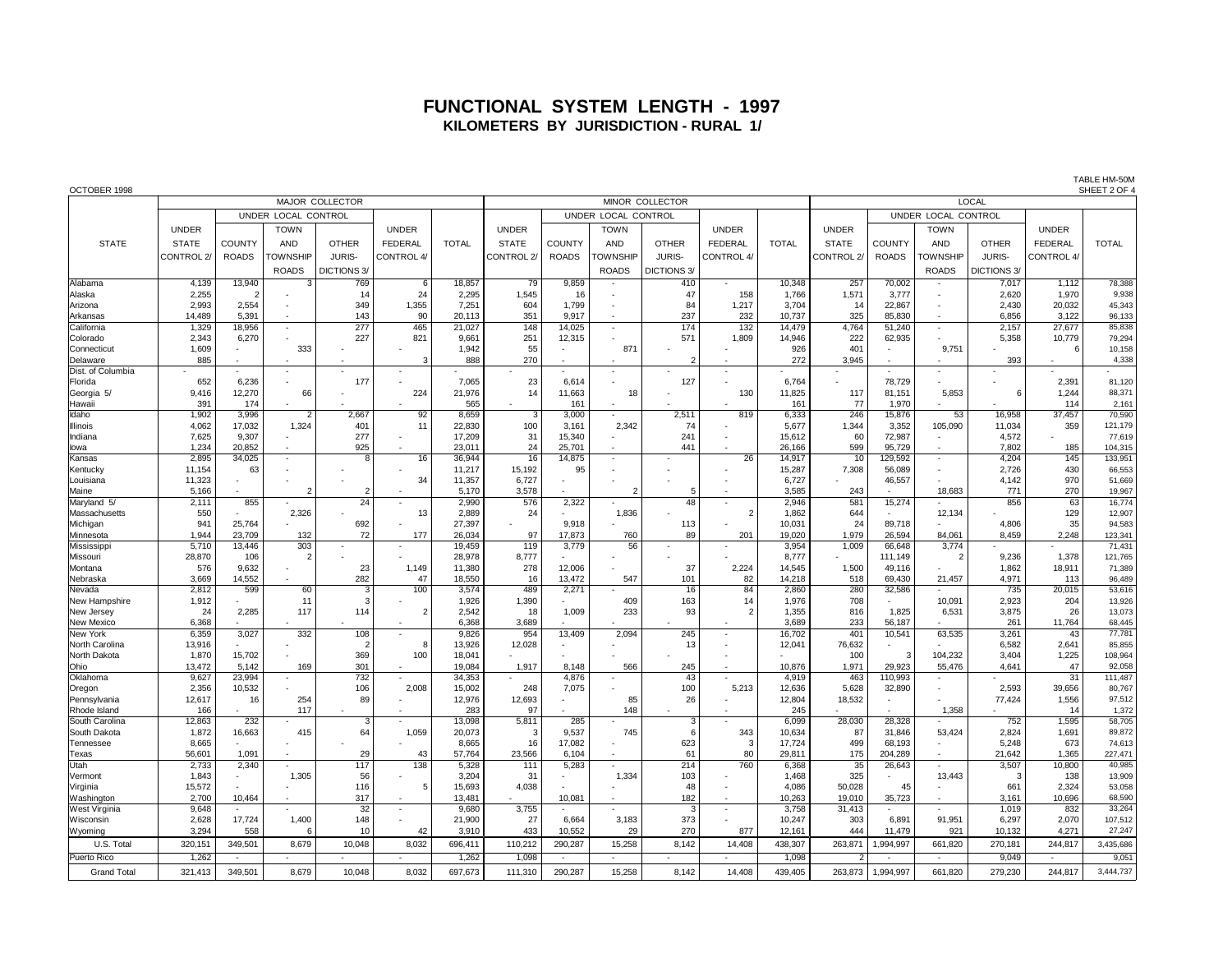## **FUNCTIONAL SYSTEM LENGTH - 1997 KILOMETERS BY JURISDICTION - RURAL 1/**

OCTOBER 1998 SHEET 2 OF 4 MAJOR COLLECTOR **Example 20 The COLLECTOR** MINOR COLLECTOR **MINOR COLLECTOR** LOCAL UNDER LOCAL CONTROL UNDER LOCAL CONTROL UNDER LOCAL CONTROL UNDER | | TOWN | | UNDER | | UNDER | | TOWN | | UNDER | | UNDER | | TOWN | | UNDER STATE | STATE |COUNTY| AND | OTHER | FEDERAL | TOTAL | STATE |COUNTY| AND | OTHER | FEDERAL | TOTAL | STATE |COUNTY| AND | OTHER | FEDERAL | TOTAL CONTROL 2/ ROADS TOWNSHIP JURIS- CONTROL 4/ CONTROL 2/ ROADS TOWNSHIP JURIS- CONTROL 4/ CONTROL 2/ ROADS TOWNSHIP JURIS- CONTROL 4/ ROADS DICTIONS 3/ ROADS DICTIONS 3/ ROADS DICTIONS 3/ ROADS DICTIONS 3/ ROADS DICTIONS 3/ ROADS DICTIONS 3/ Alabama | 4,139 13,940 3 769 6 18,857 79 9,859 - 1 410 - 10,348 257 70,002 - 7,017 1,112 78,388 Alaska | 2,255 | 2 - | 14 | 24 2,295 | 1,545 | 16 - | 47 | 158 1,766 | 1,571 3,777 - | 2,620 1,970 9,938 Arizona 2,993 | 2,554 - 349 | 1,355 | 7,251 | 604 | 1,799 | - 84 | 1,217 | 3,704 |l 14 | 22,867 | - Arkansas | 14,489 5,391 - | 143 | 90 20,113 | 351 9,917 - | 237 232 10,737 325 85,830 - | 6,856 3,122 96,133 California | 1,329 18,956 - | 277 | 465 |21,027 | 148 |14,025 - | 174 | 132 |14,479 | 4,764 51,240 - | 2,157 | 27,677 | 85,838 Colorado | 2,343 6,270 - | 227 | 821 9,661 251 12,315 - | 571 1,809 14,946 222 62,935 - | 5,358 10,779 79,294 Connecticut | 1,609 - | 333 - | - | 1,942 | 55 - | 871 - | - | 926 | 401 - | 9,751 - | - 6 10,158 Delaware | 885 - | - | - | 3 888 | 270 - | - | 2 | - | 272 || 3,945 - | - | 393 | - | 4,338 Dist. of Columbia - - - - - - - - - - - - - - - - - - Florida | 652 6,236 - 1 177 - 1 7,065 23 6,614 - 1 127 - 16,764 - 178,729 - 1 - 2,391 81,120 Georgia 5/ 9,416 12,270 66 - 224 21,976 14 11,663 18 - 130 11,825 117 81,151 5,853 6 1,244 88,371 Hawaii | 391 | 174 - | - | - | 565 | - | 161 | - | - | 161 | 77 | 1,970 | - | - | 114 | 2,161 Idaho | 1,902 3,996 2 2,667 92 8,659 3,000 - 2,511 819 6,333 246 15,876 53 16,958 37,457 70,590 Illinois | 4,062 |17,032 | 1,324 | 401 | 11 | 22,830 | 100 | 3,161 | 2,342 | 74 - | 5,677 | 1,344 3,352 105,090 | 11,034 | 359 121,179 Indiana | 7,625 9,307 - | 277 - | 17,209 - 31 15,340 - | 241 - | 15,612 60 72,987 - | 4,572 - | 77,619 Iowa 1,234 20,852 - 925 - 23,011 24 25,701 - 441 - 26,166 599 95,729 - 7,802 185 104,315 Kansas | 2,895 34,025 - | 8 | 16 36,944 | 16 | 14,875 - | - | 26 | 14,917 | 10 | 129,592 - | 4,204 | 145 | 133,951 Kentucky | 11,154 | 63 | - | - | - | 11,217 | 15,192 | 95 | - | - | - | 15,287 || 7,308 | 56,089 | - | 2,726 | 430 | 66,553 Louisiana | 11,323 - | - | - | 34 11,357 6,727 - | - | - | - | 6,727 - | 46,557 - | 4,142 | 970 51,669 Maine | 5,166 |- | 2 | 2 |- | 5,170 || 3,578 |- | 2 | 5 |- | 3,585 || 243 |- | 18,683 || 771 || 270 || 19,967 Maryland 5/ | 2,111| 855| - | 24| - | 2,990| 576| 2,322| - | 48| - | 2,946| 581| 15,274| - | 856| 63| 16,774 Massachusetts | 550 - | 2,326 - | 13 | 2,889 | 24 - | 1,836 - | 2 | 1,862 | 644 - | 12,134 - | 129 12,907 Michigan | 941 25,764 - | 692 - | 27,397 - | 9,918 - | 113 - | 10,031 | 24 89,718 - | 4,806 | 35 94,583 Minnesota | 1,944 23,709 132 72 177 26,034 97 17,873 760 89 201 19,020 1,979 26,594 84,061 8,459 2,248 123,341 Mississippi | 5,710 13,446 | 303 - | - | 19,459 | 119 3,779 | 56 - | - | 3,954 | 1,009 66,648 | 3,774 - | - | 71,431 Missouri | 28,870 | 106 | 2 | - | - | 28,978 || 8,777 | - | - | - | - | - | 8,777 | - | 111,149 | 2 | 9,236 | 1,378 |121,765 Montana | 576 9,632 - | 23 1,149 11,380 278 12,006 - | 37 2,224 14,545 1,500 49,116 - | 1,862 18,911 71,389 Nebraska | 3,669 14,552 - | 282 | 47 18,550 | 16 13,472 547 101 82 14,218 518 69,430 21,457 4,971 113 96,489 Nevada | 2,812 | 599 | 60 | 3 | 100 | 3,574 || 489 | 2,271 | - | 16 | 84 | 2,860 || 280 |32,586 | - | 735 | 20,015 | 53,616 New Hampshire | 1,912 - | 11 | 3 - | 1,926 1,390 - | 409 163 14 1,976 708 - | 10,091 2,923 204 13,926 New Jersey | 24 |2,285 |117 |114 |2 |2,542 |18 |1,009 |233 | 93 | 2 |1,355 | 816 1,825 | 6,531 3,875 | 26 13,073 New Mexico | 6,368 - | - | - | - | 6,368 3,689 - | - | - | - | 3,689 233 56,187 - | 261 11,764 68,445 New York | 6,359 | 3,027 | 332 | 108 | - | 9,826 || 954 | 13,409 | 2,094 | | 16,702 | 401 | 10,541 | 63,535 | 3,261 | 43 | 77,781 North Carolina | 13,916 - | - | 2 | 8 | 13,926 | 12,028 | - | - | 13 | - | 12,041 | 76,632 | - | - | 6,582 | 2,641 85,855 North Dakota | 1,870 | 15,702 - | 369 | 100 | 18,041 | - | - | - | - | - | - | - | 100 | 3 | 104,232 | 3,404 | 1,225 | 108,964 Ohio | 13,472 5,142 169 301 - 19,084 1,917 8,148 566 245 - 10,876 1,971 29,923 55,476 4,641 - 47 92,058 Oklahoma | 9,627 23,994 - | 732 - | 34,353 - | 4,876 - | 43 - | 4,919 | 463 110,993 - | - | 31 111,487 Oregon | 2,356 | 10,532 | - | 106 | 2,008 | 15,002 | 248 | 7,075 | - | 100 | 5,213 | 12,636 | 5,628 | 3,890 | - | 2,593 | 39,656 | 80,767 Pennsylvania | 12,617 | 16 | 254 | 89 - | 12,976 | 12,693 - | 85 | 26 - | 12,804 | 18,532 - | - | 77,424 | 1,556 97,512 Rhode Island | 166 - | 117 - | - | 283 | 97 - | 148 - | - | 245 | - | - | 1,358 - | 14 1,372 South Carolina | 12,863 | 232 - | 3 | - | 13,098 | 5,811 | 285 - | 3 | - | 6,099 | 28,030 | 28,328 - | 752 | 1,595 | 58,705 South Dakota | 1,872 16,663 | 415 64 1,059 20,073 | 3 9,537 745 6 343 10,634 87 31,846 53,424 2,824 1,691 89,872 Tennessee | 8,665 - | - | - | - | 8,665 | 16 17,082 - | 623 | 3 17,724 | 499 68,193 - | 5,248 | 673 |74,613 Texas | 56,601 | 1,091 - | 29 | 43 |57,764 | 23,566 | 6,104 - | 61 | 80 |29,811 | 175 |204,289 - | 21,642 1,365 |227,471 Utah | 2,733 2,340 - | 117 | 138 5,328 | 111 5,283 - | 214 760 6,368 35 26,643 - | 3,507 10,800 40,985 Vermont | 1,843 - | 1,305 | 56 - | 3,204 | 31 - | 1,334 | 103 - | 1,468 || 325 - | 13,443 | 3 | 138 |13,909 Virginia | 15,572 | | | 116 | 15,693 || 4,038 | | | | 48 | | 4,086 || 50,028 | 45 | | 661 | 2,324 53,058 Washington | 2,700 10,464 - | 317 - | 13,481 - | 10,081 - | 182 - | 10,263 19,010 35,723 - | 3,161 10,696 68,590 West Virginia | 9,648 |- | - | 32 |- | 9,680 || 3,755 |- |- | 3 |- | 3,758 || 31,413 |- |- | 1,019 | 832 || 33,264 Wisconsin | 2,628 17,724 1,400 | 148 - | 21,900 | 27 6,664 3,183 373 - | 10,247 303 6,891 91,951 6,297 2,070 107,512 Wyoming | 3,294 | 558 | 6 | 10 | 42 | 3,910 || 433 | 10,552 | 29 | 270 | 877 | 12,161 | 444 | 11,479 | 921 | 10,132 | 4,271 | 27,247 U.S. Total 320,151 349,501 8,679 10,048 8,032 696,411 110,212 290,287 15,258 8,142 14,408 438,307 263,871 1,994,997 661,820 270,181 244,817 3,435,686 Puerto Rico | 1,262 - | - | - | - | 1,262 | 1,098 | - | - | - | - | 1,098 | - 2 | - | - | 9,049 | - | 9,051 Grand Total | 321,413 | 349,501 | 8,679 | 10,048 | 8,032 | 697,673 | 111,310 | 290,287 | 15,258 | 8,142 | 14,408 | 439,405 | 263,873 | 1,994,997 | 661,820 | 279,230 | 244,817 | 3,444,737

TABLE HM-50M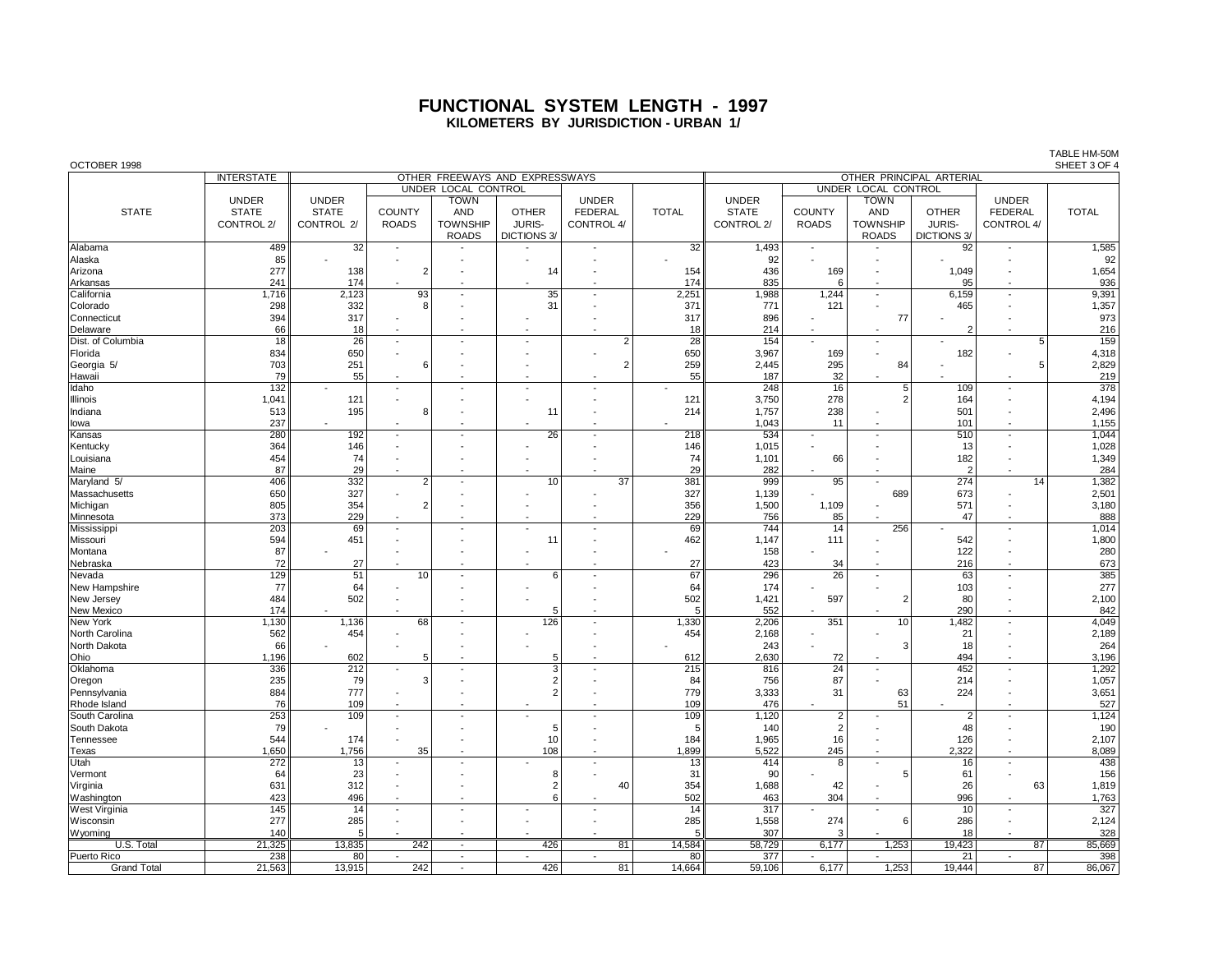## **FUNCTIONAL SYSTEM LENGTH - 1997 KILOMETERS BY JURISDICTION - URBAN 1/**

| OCTOBER 1998         |                   |              |                          |                          |                                |                          |                 |                     |                          |                          |                    |                          | SHEET 3 OF 4 |  |  |  |
|----------------------|-------------------|--------------|--------------------------|--------------------------|--------------------------------|--------------------------|-----------------|---------------------|--------------------------|--------------------------|--------------------|--------------------------|--------------|--|--|--|
|                      | <b>INTERSTATE</b> |              |                          |                          | OTHER FREEWAYS AND EXPRESSWAYS | OTHER PRINCIPAL ARTERIAL |                 |                     |                          |                          |                    |                          |              |  |  |  |
|                      |                   |              |                          | UNDER LOCAL CONTROL      |                                |                          |                 | UNDER LOCAL CONTROL |                          |                          |                    |                          |              |  |  |  |
|                      | <b>UNDER</b>      | <b>UNDER</b> |                          | <b>TOWN</b>              |                                | <b>UNDER</b>             |                 | <b>UNDER</b>        |                          | <b>TOWN</b>              |                    | <b>UNDER</b>             |              |  |  |  |
| <b>STATE</b>         | <b>STATE</b>      | <b>STATE</b> | <b>COUNTY</b>            | <b>AND</b>               | <b>OTHER</b>                   | <b>FEDERAL</b>           | <b>TOTAL</b>    | <b>STATE</b>        | <b>COUNTY</b>            | <b>AND</b>               | <b>OTHER</b>       | <b>FEDERAL</b>           | <b>TOTAL</b> |  |  |  |
|                      | CONTROL 2/        | CONTROL 2/   | <b>ROADS</b>             | <b>TOWNSHIP</b>          | <b>JURIS-</b>                  | CONTROL 4/               |                 | CONTROL 2/          | <b>ROADS</b>             | <b>TOWNSHIP</b>          | JURIS-             | CONTROL 4/               |              |  |  |  |
|                      |                   |              |                          |                          |                                |                          |                 |                     |                          |                          |                    |                          |              |  |  |  |
|                      |                   |              |                          | <b>ROADS</b>             | <b>DICTIONS 3/</b>             |                          |                 |                     |                          | <b>ROADS</b>             | <b>DICTIONS 3/</b> |                          |              |  |  |  |
| Alabama              | 489               | 32           |                          |                          |                                |                          | 32              | 1,493               |                          |                          | 92                 |                          | 1,585        |  |  |  |
| Alaska               | 85                |              |                          |                          |                                |                          |                 | 92                  |                          |                          |                    |                          | 92           |  |  |  |
| Arizona              | 277               | 138          | $\overline{2}$           |                          | 14                             |                          | 154             | 436                 | 169                      |                          | 1,049              |                          | 1,654        |  |  |  |
| Arkansas             | 241               | 174          |                          |                          |                                |                          | 174             | 835                 | 6                        |                          | 95                 |                          | 936          |  |  |  |
| California           | 1,716             | 2,123        | 93                       |                          | 35                             |                          | 2,251           | 1,988               | 1,244                    | ÷,                       | 6,159              |                          | 9,391        |  |  |  |
| Colorado             | 298               | 332          | 8                        |                          | 31                             |                          | 371             | 771                 | 121                      |                          | 465                |                          | 1,357        |  |  |  |
| Connecticut          | 394               | 317          |                          |                          |                                |                          | 317             | 896                 |                          | 77                       |                    |                          | 973          |  |  |  |
| Delaware             | 66                | 18           |                          |                          |                                |                          | 18              | 214                 |                          |                          | $\overline{2}$     |                          | 216          |  |  |  |
| Dist. of Columbia    | 18                | 26           | $\overline{\phantom{a}}$ |                          |                                | $\overline{2}$           | 28              | 154                 |                          |                          |                    | $\overline{5}$           | 159          |  |  |  |
| Florida              | 834               | 650          | $\overline{a}$           |                          |                                |                          | 650             | 3,967               | 169                      | ÷,                       | 182                |                          |              |  |  |  |
|                      |                   |              |                          |                          |                                | 2                        |                 |                     |                          |                          |                    | 5                        | 4,318        |  |  |  |
| Georgia 5/           | 703               | 251          | 6                        |                          |                                |                          | 259             | 2,445               | 295                      | 84                       |                    |                          | 2,829        |  |  |  |
| Hawaii               | 79                | 55           | $\overline{\phantom{a}}$ |                          | $\overline{\phantom{a}}$       |                          | 55              | 187                 | 32                       |                          |                    |                          | 219          |  |  |  |
| Idaho                | 132               |              | $\overline{\phantom{a}}$ |                          | $\overline{\phantom{a}}$       |                          |                 | 248                 | 16                       | 5 <sup>5</sup>           | 109                |                          | 378          |  |  |  |
| Illinois             | 1,041             | 121          | $\overline{a}$           |                          |                                |                          | 121             | 3,750               | 278                      | $\overline{2}$           | 164                |                          | 4,194        |  |  |  |
| Indiana              | 513               | 195          | 8                        |                          |                                |                          | 214             | 1,757               | 238                      |                          | 501                |                          | 2,496        |  |  |  |
| lowa                 | 237               |              |                          |                          | $\overline{\phantom{a}}$       |                          |                 | 1,043               | 11                       | ÷.                       | 101                |                          | 1,155        |  |  |  |
| Kansas               | 280               | 192          | $\blacksquare$           |                          | 26                             | ٠                        | 218             | 534                 |                          | ÷,                       | 510                |                          | 1,044        |  |  |  |
| Kentucky             | 364               | 146          |                          |                          |                                |                          | 146             | 1,015               |                          |                          | 13                 |                          | 1,028        |  |  |  |
| Louisiana            | 454               | 74           |                          |                          |                                |                          | 74              | 1,101               | 66                       |                          | 182                |                          | 1,349        |  |  |  |
| Maine                | 87                | 29           |                          |                          |                                |                          | 29              | 282                 |                          |                          | $\overline{2}$     |                          | 284          |  |  |  |
| Maryland 5/          | 406               | 332          | $\overline{2}$           |                          | 10                             | $\overline{37}$          | 381             | 999                 | 95                       |                          | 274                | 14                       | 1,382        |  |  |  |
|                      |                   |              |                          |                          |                                |                          |                 |                     |                          |                          |                    |                          |              |  |  |  |
| Massachusetts        | 650               | 327          |                          |                          |                                |                          | 327             | 1,139               |                          | 689                      | 673                |                          | 2,501        |  |  |  |
| Michigan             | 805               | 354          | $\overline{2}$           |                          |                                |                          | 356             | 1,500               | 1,109                    |                          | 571                |                          | 3,180        |  |  |  |
| Minnesota            | 373               | 229          |                          |                          |                                |                          | 229             | 756                 | 85                       |                          | 47                 |                          | 888          |  |  |  |
| Mississippi          | 203               | 69           | $\overline{\phantom{a}}$ |                          | $\overline{\phantom{a}}$       | $\overline{a}$           | 69              | 744                 | 14                       | 256                      |                    | $\overline{\phantom{a}}$ | 1,014        |  |  |  |
| Missouri             | 594               | 451          |                          |                          | 11                             |                          | 462             | 1,147               | 111                      |                          | 542                |                          | 1,800        |  |  |  |
| Montana              | 87                |              |                          |                          | $\overline{\phantom{a}}$       |                          |                 | 158                 |                          |                          | 122                |                          | 280          |  |  |  |
| Nebraska             | 72                | 27           | $\overline{a}$           |                          |                                |                          | 27              | 423                 | 34                       |                          | 216                |                          | 673          |  |  |  |
| Nevada               | 129               | 51           | 10                       |                          | 6                              | $\overline{\phantom{a}}$ | 67              | 296                 | 26                       | $\overline{a}$           | 63                 |                          | 385          |  |  |  |
| New Hampshire        | 77                | 64           |                          |                          |                                |                          | 64              | 174                 |                          |                          | 103                |                          | 277          |  |  |  |
| New Jersey           | 484               | 502          |                          |                          |                                |                          | 502             | 1,421               | 597                      | $\overline{2}$           | 80                 |                          | 2,100        |  |  |  |
| New Mexico           | 174               |              |                          |                          | 5                              |                          | -5              | 552                 |                          |                          | 290                |                          | 842          |  |  |  |
| New York             | 1,130             | 1,136        | 68                       |                          | 126                            |                          | 1,330           | 2,206               | 351                      | 10                       | 1,482              |                          | 4,049        |  |  |  |
| North Carolina       | 562               |              |                          |                          |                                |                          |                 |                     |                          |                          | 21                 |                          |              |  |  |  |
|                      |                   | 454          |                          |                          |                                |                          | 454             | 2,168               |                          |                          |                    |                          | 2,189        |  |  |  |
| North Dakota         | 66                |              |                          |                          |                                |                          |                 | 243                 |                          | 3                        | 18                 |                          | 264          |  |  |  |
| Ohio                 | 1,196             | 602          | 5                        |                          | 5                              |                          | 612             | 2,630               | 72                       |                          | 494                |                          | 3,196        |  |  |  |
| Oklahoma             | 336               | 212          |                          |                          | 3                              |                          | 215             | 816                 | 24                       |                          | 452                |                          | 1,292        |  |  |  |
| Oregon               | 235               | 79           | 3                        |                          | $\overline{2}$                 |                          | 84              | 756                 | 87                       |                          | 214                |                          | 1,057        |  |  |  |
| Pennsylvania         | 884               | 777          | $\overline{a}$           |                          | $\overline{2}$                 |                          | 779             | 3,333               | 31                       | 63                       | 224                |                          | 3,651        |  |  |  |
| Rhode Island         | 76                | 109          | $\overline{a}$           |                          |                                |                          | 109             | 476                 |                          | 51                       |                    |                          | 527          |  |  |  |
| South Carolina       | 253               | 109          | $\blacksquare$           |                          | $\overline{a}$                 | $\overline{a}$           | 109             | 1,120               | $\overline{2}$           |                          | $\overline{2}$     |                          | 1,124        |  |  |  |
| South Dakota         | 79                |              |                          |                          | 5                              |                          | 5               | 140                 | $\overline{2}$           |                          | 48                 |                          | 190          |  |  |  |
| Tennessee            | 544               | 174          | $\overline{\phantom{a}}$ |                          | 10                             |                          | 184             | 1,965               | 16                       |                          | 126                |                          | 2,107        |  |  |  |
| Texas                | 1,650             | 1,756        | 35                       |                          | 108                            | $\overline{\phantom{a}}$ | 1,899           | 5,522               | 245                      | $\overline{\phantom{a}}$ | 2,322              |                          | 8,089        |  |  |  |
| Utah                 | 272               | 13           |                          |                          |                                | ÷,                       | 13              | 414                 | $\mathsf{R}$             | $\overline{a}$           | 16                 |                          | 438          |  |  |  |
|                      | 64                |              |                          |                          | 8                              |                          |                 | 90                  |                          | 5                        | 61                 |                          | 156          |  |  |  |
| Vermont              |                   | 23           |                          |                          |                                |                          | 31              |                     |                          |                          |                    |                          |              |  |  |  |
| Virginia             | 631               | 312          |                          |                          | $\overline{2}$                 | 40                       | 354             | 1,688               | 42                       |                          | 26                 | 63                       | 1,819        |  |  |  |
| Washington           | 423               | 496          |                          |                          | 6                              |                          | 502             | 463                 | 304                      |                          | 996                |                          | 1,763        |  |  |  |
| <b>West Virginia</b> | 145               | 14           | $\overline{\phantom{a}}$ |                          | $\overline{\phantom{a}}$       | $\overline{\phantom{a}}$ | $\overline{14}$ | $\overline{317}$    | $\overline{a}$           | $\overline{\phantom{a}}$ | 10                 | $\overline{\phantom{a}}$ | 327          |  |  |  |
| Wisconsin            | 277               | 285          |                          |                          |                                |                          | 285             | 1,558               | 274                      | 6                        | 286                |                          | 2,124        |  |  |  |
| Wyoming              | 140               | 5            |                          |                          |                                |                          |                 | 307                 |                          |                          | 18                 |                          | 328          |  |  |  |
| U.S. Total           | 21,325            | 13,835       | 242                      |                          | 426                            | 81                       | 14,584          | 58,729              | 6,177                    | 1,253                    | 19,423             | 87                       | 85,669       |  |  |  |
| Puerto Rico          | 238               | 80           | $\blacksquare$           | $\overline{\phantom{a}}$ | $\overline{\phantom{a}}$       | $\overline{\phantom{a}}$ | 80              | 377                 | $\overline{\phantom{a}}$ | $\blacksquare$           | 21                 | $\overline{\phantom{a}}$ | 398          |  |  |  |
| <b>Grand Total</b>   | 21,563            | 13,915       | 242                      |                          | 426                            | 81                       | 14.664          | 59.106              | 6.177                    | 1.253                    | 19.444             | 87                       | 86.067       |  |  |  |

TABLE HM-50M